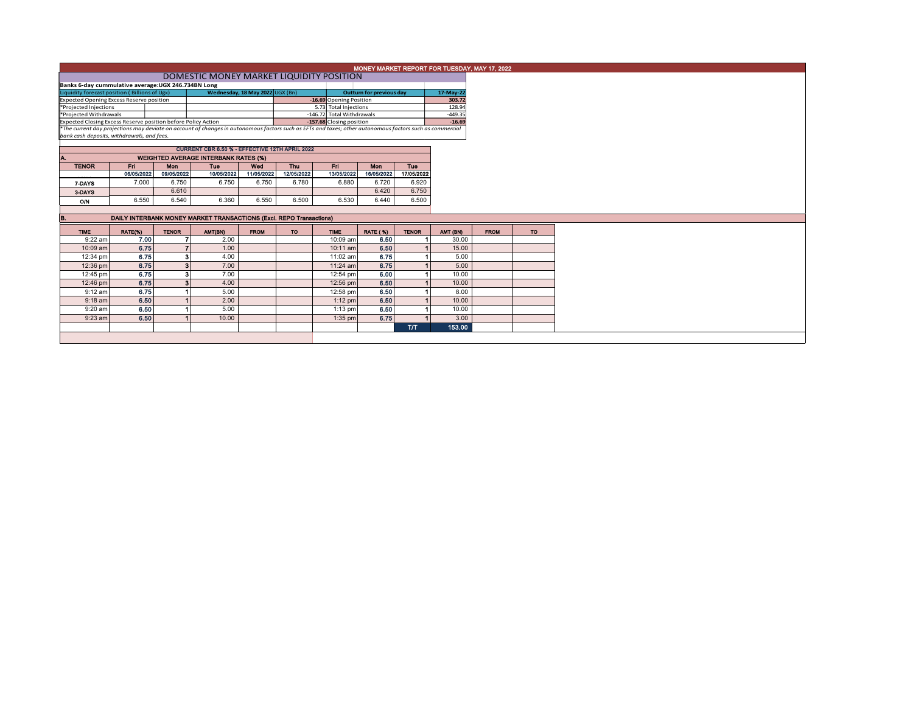|                                                                                                                                                          | MONEY MARKET REPORT FOR TUESDAY, MAY 17, 2022 |                |                                                |                                 |            |                                 |                                                    |              |                  |             |           |  |  |  |
|----------------------------------------------------------------------------------------------------------------------------------------------------------|-----------------------------------------------|----------------|------------------------------------------------|---------------------------------|------------|---------------------------------|----------------------------------------------------|--------------|------------------|-------------|-----------|--|--|--|
|                                                                                                                                                          |                                               |                |                                                |                                 |            |                                 |                                                    |              |                  |             |           |  |  |  |
| Banks 6-day cummulative average: UGX 246.734BN Long                                                                                                      |                                               |                |                                                |                                 |            |                                 |                                                    |              |                  |             |           |  |  |  |
| Liquidity forecast position (Billions of Ugx)                                                                                                            |                                               |                |                                                | Wednesday, 18 May 2022 UGX (Bn) |            | <b>Outturn for previous day</b> |                                                    | 17-May-22    |                  |             |           |  |  |  |
| <b>Expected Opening Excess Reserve position</b>                                                                                                          |                                               |                |                                                |                                 |            |                                 | -16.69 Opening Position                            |              | 303.72<br>128.94 |             |           |  |  |  |
| *Projected Injections<br>*Projected Withdrawals                                                                                                          |                                               |                |                                                |                                 |            |                                 | 5.73 Total Injections<br>-146.72 Total Withdrawals |              | $-449.35$        |             |           |  |  |  |
| Expected Closing Excess Reserve position before Policy Action                                                                                            |                                               |                |                                                |                                 |            |                                 | -157.68 Closing position                           |              | $-16.69$         |             |           |  |  |  |
| *The current day projections may deviate on account of changes in autonomous factors such as EFTs and taxes; other autonomous factors such as commercial |                                               |                |                                                |                                 |            |                                 |                                                    |              |                  |             |           |  |  |  |
| bank cash deposits, withdrawals, and fees.                                                                                                               |                                               |                |                                                |                                 |            |                                 |                                                    |              |                  |             |           |  |  |  |
|                                                                                                                                                          |                                               |                | CURRENT CBR 6.50 % - EFFECTIVE 12TH APRIL 2022 |                                 |            |                                 |                                                    |              |                  |             |           |  |  |  |
|                                                                                                                                                          |                                               |                | <b>WEIGHTED AVERAGE INTERBANK RATES (%)</b>    |                                 |            |                                 |                                                    |              |                  |             |           |  |  |  |
| <b>TENOR</b>                                                                                                                                             | Fri.                                          | Mon            | <b>Tue</b>                                     | Wed                             | Thu        | Fri.                            | <b>Mon</b>                                         | Tue          |                  |             |           |  |  |  |
|                                                                                                                                                          | 06/05/2022                                    | 09/05/2022     | 10/05/2022                                     | 11/05/2022                      | 12/05/2022 | 13/05/2022                      | 16/05/2022                                         | 17/05/2022   |                  |             |           |  |  |  |
| 7-DAYS                                                                                                                                                   | 7.000                                         | 6.750          | 6.750                                          | 6.750                           | 6.780      | 6.880                           | 6.720                                              | 6.920        |                  |             |           |  |  |  |
| 3-DAYS                                                                                                                                                   |                                               | 6.610          |                                                |                                 |            |                                 | 6.420                                              | 6.750        |                  |             |           |  |  |  |
| O/N                                                                                                                                                      | 6.550                                         | 6.540          | 6.360                                          | 6.550                           | 6.500      | 6.530                           | 6.440                                              | 6.500        |                  |             |           |  |  |  |
|                                                                                                                                                          |                                               |                |                                                |                                 |            |                                 |                                                    |              |                  |             |           |  |  |  |
| DAILY INTERBANK MONEY MARKET TRANSACTIONS (Excl. REPO Transactions)<br>В.                                                                                |                                               |                |                                                |                                 |            |                                 |                                                    |              |                  |             |           |  |  |  |
| <b>TIME</b>                                                                                                                                              | RATE(%)                                       | <b>TENOR</b>   | AMT(BN)                                        | <b>FROM</b>                     | TO         | <b>TIME</b>                     | <b>RATE (%)</b>                                    | <b>TENOR</b> | AMT (BN)         | <b>FROM</b> | <b>TO</b> |  |  |  |
| 9:22 am                                                                                                                                                  | 7.00                                          |                | 2.00                                           |                                 |            | 10:09 am                        | 6.50                                               |              | 30.00            |             |           |  |  |  |
| 10:09 am                                                                                                                                                 | 6.75                                          | $\overline{7}$ | 1.00                                           |                                 |            | 10:11 am                        | 6.50                                               |              | 15.00            |             |           |  |  |  |
| 12:34 pm                                                                                                                                                 | 6.75                                          | 3              | 4.00                                           |                                 |            | 11:02 am                        | 6.75                                               |              | 5.00             |             |           |  |  |  |
| 12:36 pm                                                                                                                                                 | 6.75                                          | $\mathbf{3}$   | 7.00                                           |                                 |            | $11:24$ am                      | 6.75                                               |              | 5.00             |             |           |  |  |  |
| 12:45 pm                                                                                                                                                 | 6.75                                          | 3              | 7.00                                           |                                 |            | 12:54 pm                        | 6.00                                               |              | 10.00            |             |           |  |  |  |
| 12:46 pm                                                                                                                                                 | 6.75                                          | $\mathbf{3}$   | 4.00                                           |                                 |            | 12:56 pm                        | 6.50                                               |              | 10.00            |             |           |  |  |  |
| $9:12$ am                                                                                                                                                | 6.75                                          |                | 5.00                                           |                                 |            | 12:58 pm                        | 6.50                                               |              | 8.00             |             |           |  |  |  |
| $9:18$ am                                                                                                                                                | 6.50                                          |                | 2.00                                           |                                 |            | $1:12$ pm                       | 6.50                                               |              | 10.00            |             |           |  |  |  |
| 9:20 am                                                                                                                                                  | 6.50                                          |                | 5.00                                           |                                 |            | $1:13$ pm                       | 6.50                                               |              | 10.00            |             |           |  |  |  |
| $9:23$ am                                                                                                                                                | 6.50                                          |                | 10.00                                          |                                 |            | $1:35$ pm                       | 6.75                                               |              | 3.00             |             |           |  |  |  |
|                                                                                                                                                          |                                               |                |                                                |                                 |            |                                 |                                                    | <b>T/T</b>   | 153.00           |             |           |  |  |  |
|                                                                                                                                                          |                                               |                |                                                |                                 |            |                                 |                                                    |              |                  |             |           |  |  |  |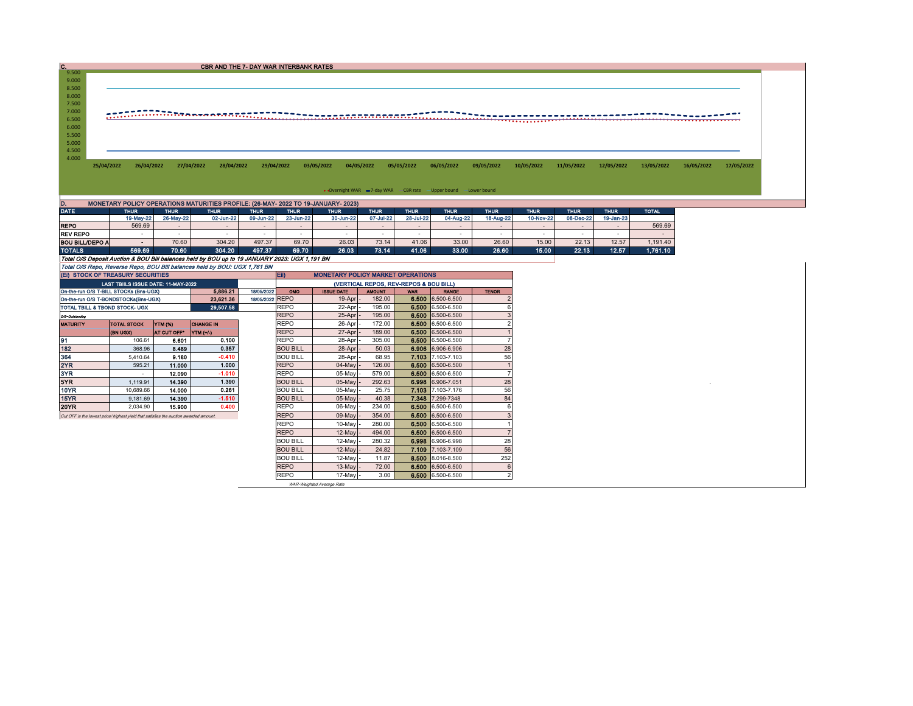| c.                                                                                                                                                                |                                     |                 | <b>CBR AND THE 7- DAY WAR INTERBANK RATES</b>                                                        |                  |                                                                                   |                   |                                        |                 |                                                                  |                 |                 |                 |                 |              |            |            |
|-------------------------------------------------------------------------------------------------------------------------------------------------------------------|-------------------------------------|-----------------|------------------------------------------------------------------------------------------------------|------------------|-----------------------------------------------------------------------------------|-------------------|----------------------------------------|-----------------|------------------------------------------------------------------|-----------------|-----------------|-----------------|-----------------|--------------|------------|------------|
| 9.500                                                                                                                                                             |                                     |                 |                                                                                                      |                  |                                                                                   |                   |                                        |                 |                                                                  |                 |                 |                 |                 |              |            |            |
| 9.000                                                                                                                                                             |                                     |                 |                                                                                                      |                  |                                                                                   |                   |                                        |                 |                                                                  |                 |                 |                 |                 |              |            |            |
| 8.500                                                                                                                                                             |                                     |                 |                                                                                                      |                  |                                                                                   |                   |                                        |                 |                                                                  |                 |                 |                 |                 |              |            |            |
| 8.000<br>7.500                                                                                                                                                    |                                     |                 |                                                                                                      |                  |                                                                                   |                   |                                        |                 |                                                                  |                 |                 |                 |                 |              |            |            |
| 7.000                                                                                                                                                             |                                     |                 |                                                                                                      |                  |                                                                                   |                   |                                        |                 |                                                                  |                 |                 |                 |                 |              |            |            |
| 6.500                                                                                                                                                             |                                     |                 | HARRY COMMUNIST COMMUNIST AND RESIDENCE OF THE PARTY OF THE PARTY OF THE PARTY OF THE PARTY OF THE P |                  |                                                                                   |                   |                                        |                 |                                                                  |                 |                 |                 |                 |              |            |            |
| 6.000                                                                                                                                                             |                                     |                 |                                                                                                      |                  |                                                                                   |                   |                                        |                 |                                                                  |                 |                 |                 |                 |              |            |            |
| 5.500                                                                                                                                                             |                                     |                 |                                                                                                      |                  |                                                                                   |                   |                                        |                 |                                                                  |                 |                 |                 |                 |              |            |            |
| 5.000                                                                                                                                                             |                                     |                 |                                                                                                      |                  |                                                                                   |                   |                                        |                 |                                                                  |                 |                 |                 |                 |              |            |            |
| 4.500                                                                                                                                                             |                                     |                 |                                                                                                      |                  |                                                                                   |                   |                                        |                 |                                                                  |                 |                 |                 |                 |              |            |            |
| 4.000                                                                                                                                                             |                                     |                 |                                                                                                      |                  |                                                                                   |                   |                                        |                 |                                                                  |                 |                 |                 |                 |              |            |            |
| 25/04/2022                                                                                                                                                        | 26/04/2022                          |                 | 27/04/2022<br>28/04/2022                                                                             | 29/04/2022       |                                                                                   | 03/05/2022        | 04/05/2022                             | 05/05/2022      | 06/05/2022                                                       | 09/05/2022      | 10/05/2022      | 11/05/2022      | 12/05/2022      | 13/05/2022   | 16/05/2022 | 17/05/2022 |
|                                                                                                                                                                   |                                     |                 |                                                                                                      |                  |                                                                                   |                   |                                        |                 |                                                                  |                 |                 |                 |                 |              |            |            |
|                                                                                                                                                                   |                                     |                 |                                                                                                      |                  |                                                                                   |                   |                                        |                 | . Overnight WAR = 7-day WAR CBR rate - Upper bound - Lower bound |                 |                 |                 |                 |              |            |            |
|                                                                                                                                                                   |                                     |                 |                                                                                                      |                  |                                                                                   |                   |                                        |                 |                                                                  |                 |                 |                 |                 |              |            |            |
| D.                                                                                                                                                                |                                     |                 |                                                                                                      |                  | MONETARY POLICY OPERATIONS MATURITIES PROFILE: (26-MAY- 2022 TO 19-JANUARY- 2023) |                   |                                        |                 |                                                                  |                 |                 |                 |                 |              |            |            |
| <b>DATE</b>                                                                                                                                                       | <b>THUR</b>                         | <b>THUR</b>     | <b>THUR</b>                                                                                          | <b>THUR</b>      | <b>THUR</b>                                                                       | <b>THUR</b>       | <b>THUR</b>                            | <b>THUR</b>     | <b>THUR</b>                                                      | <b>THUR</b>     | <b>THUR</b>     | <b>THUR</b>     | <b>THUR</b>     | <b>TOTAL</b> |            |            |
|                                                                                                                                                                   | 19-May-22                           | 26-May-22       | 02-Jun-22                                                                                            | 09-Jun-22        | 23-Jun-22                                                                         | 30-Jun-22         | 07-Jul-22                              | 28-Jul-22       | 04-Aug-22                                                        | 18-Aug-22       | 10-Nov-22       | 08-Dec-22       | 19-Jan-23       |              |            |            |
| <b>REPO</b>                                                                                                                                                       | 569.69                              | $\sim$          | $\sim$                                                                                               | $\sim$           | $\sim$                                                                            | $\sim$            | $\sim$                                 | $\sim$          | $\sim$                                                           | $\sim$          | $\sim$          | $\sim$          | $\sim$          | 569.69       |            |            |
| <b>REV REPO</b>                                                                                                                                                   | $\sim$<br>$\sim$                    | $\sim$<br>70.60 | $\sim$<br>304.20                                                                                     | $\sim$<br>497.37 | $\sim$<br>69.70                                                                   | $\sim$            | $\sim$<br>73.14                        | $\sim$<br>41.06 | $\sim$<br>33.00                                                  | $\sim$<br>26.60 | $\sim$<br>15.00 | $\sim$<br>22.13 | $\sim$<br>12.57 | $\sim$       |            |            |
| <b>BOU BILL/DEPO A</b><br><b>TOTALS</b>                                                                                                                           | 569.69                              | 70.60           | 304.20                                                                                               | 497.37           | 69.70                                                                             | 26.03<br>26.03    |                                        | 41.06           | 33.00                                                            | 26.60           | 15.00           | 22.13           | 12.57           | 1,191.40     |            |            |
|                                                                                                                                                                   |                                     |                 | Total O/S Deposit Auction & BOU Bill balances held by BOU up to 19 JANUARY 2023: UGX 1,191 BN        |                  |                                                                                   |                   | 73.14                                  |                 |                                                                  |                 |                 |                 |                 | 1,761.10     |            |            |
|                                                                                                                                                                   |                                     |                 |                                                                                                      |                  |                                                                                   |                   |                                        |                 |                                                                  |                 |                 |                 |                 |              |            |            |
| Total O/S Repo, Reverse Repo, BOU Bill balances held by BOU: UGX 1,761 BN<br>(EI) STOCK OF TREASURY SECURITIES<br>EID<br><b>MONETARY POLICY MARKET OPERATIONS</b> |                                     |                 |                                                                                                      |                  |                                                                                   |                   |                                        |                 |                                                                  |                 |                 |                 |                 |              |            |            |
|                                                                                                                                                                   | LAST TBIILS ISSUE DATE: 11-MAY-2022 |                 |                                                                                                      |                  |                                                                                   |                   | (VERTICAL REPOS, REV-REPOS & BOU BILL) |                 |                                                                  |                 |                 |                 |                 |              |            |            |
| On-the-run O/S T-BILL STOCKs (Bns-UGX)                                                                                                                            |                                     |                 | 5,886.21                                                                                             | 18/05/2022       | OMO                                                                               | <b>ISSUE DATE</b> | <b>AMOUNT</b>                          | <b>WAR</b>      | <b>RANGE</b>                                                     | <b>TENOR</b>    |                 |                 |                 |              |            |            |
| On-the-run O/S T-BONDSTOCKs(Bns-UGX)                                                                                                                              |                                     |                 | 23,621.36                                                                                            | 18/05/2022 REPO  |                                                                                   | 19-Apr            | 182.00                                 |                 | 6.500 6.500-6.500                                                |                 |                 |                 |                 |              |            |            |
| 29.507.58<br>REPO<br>TOTAL TBILL & TBOND STOCK- UGX                                                                                                               |                                     |                 |                                                                                                      |                  |                                                                                   | 22-Apr            | 195.00                                 |                 | 6.500 6.500-6.500                                                |                 |                 |                 |                 |              |            |            |
| O/S-Outstanding                                                                                                                                                   |                                     |                 |                                                                                                      |                  | <b>REPO</b>                                                                       | 25-Apr            | 195.00                                 | 6.500           | 6.500-6.500                                                      | $\mathcal{R}$   |                 |                 |                 |              |            |            |
| <b>MATURITY</b>                                                                                                                                                   | <b>TOTAL STOCK</b>                  | YTM (%)         | <b>CHANGE IN</b>                                                                                     |                  | <b>REPO</b>                                                                       | 26-Apr            | 172.00                                 | 6.500           | 6.500-6.500                                                      | $\mathcal{P}$   |                 |                 |                 |              |            |            |
|                                                                                                                                                                   | (BN UGX)                            | AT CUT OFF*     | YTM (+/-)                                                                                            |                  | <b>REPO</b>                                                                       | 27-Apr            | 189.00                                 | 6.500           | 6.500-6.500                                                      |                 |                 |                 |                 |              |            |            |
| 91                                                                                                                                                                | 106.61                              | 6.601           | 0.100                                                                                                |                  | <b>REPO</b>                                                                       | 28-Apr            | 305.00                                 |                 | 6,500 6.500-6.500                                                |                 |                 |                 |                 |              |            |            |
| 182                                                                                                                                                               | 368.96                              | 8.489           | 0.357                                                                                                |                  | <b>BOU BILL</b>                                                                   | 28-Apr            | 50.03                                  | 6.906           | 6.906-6.906                                                      | 28              |                 |                 |                 |              |            |            |
| 364                                                                                                                                                               | 5,410.64                            | 9.180           | $-0.410$                                                                                             |                  | <b>BOU BILL</b>                                                                   | 28-Apr            | 68.95                                  | 7.103           | 7.103-7.103                                                      | 56              |                 |                 |                 |              |            |            |
| 2YR                                                                                                                                                               | 595.21                              | 11.000          | 1.000                                                                                                |                  | <b>REPO</b>                                                                       | 04-May            | 126.00                                 | 6.500           | 6.500-6.500                                                      |                 |                 |                 |                 |              |            |            |
| 3YR                                                                                                                                                               | $\sim$                              | 12.090          | $-1.010$                                                                                             |                  | <b>REPO</b>                                                                       | $05$ -May         | 579.00                                 | 6.500           | 6.500-6.500                                                      |                 |                 |                 |                 |              |            |            |
| 5YR                                                                                                                                                               | 1.119.91                            | 14,390          | 1.390                                                                                                |                  | <b>BOU BILL</b>                                                                   | $05$ -May         | 292.63                                 | 6.998           | 6.906-7.051                                                      | 28              |                 |                 |                 |              |            |            |
| <b>10YR</b>                                                                                                                                                       | 10.689.66                           | 14.000          | 0.261                                                                                                |                  | <b>BOU BILL</b>                                                                   | 05-May            | 25.75                                  | 7.103           | 7.103-7.176                                                      | 56              |                 |                 |                 |              |            |            |
| 15YR                                                                                                                                                              | 9,181.69                            | 14.390          | $-1.510$                                                                                             |                  | <b>BOU BILL</b>                                                                   | 05-May            | 40.38                                  | 7.348           | 7.299-7348                                                       | 84              |                 |                 |                 |              |            |            |
| <b>20YR</b>                                                                                                                                                       | 2.034.90                            | 15.900          | 0.400                                                                                                |                  | <b>REPO</b>                                                                       | $06$ -May         | 234.00                                 | 6.500           | 6.500-6.500                                                      | 6               |                 |                 |                 |              |            |            |
| Cut OFF is the lowest price/ highest yield that satisfies the auction awarded amount.                                                                             |                                     |                 |                                                                                                      |                  | <b>REPO</b>                                                                       | 09-May            | 354.00                                 | 6.500           | 6.500-6.500                                                      | 3               |                 |                 |                 |              |            |            |
|                                                                                                                                                                   |                                     |                 |                                                                                                      |                  | <b>REPO</b>                                                                       | 10-May            | 280.00                                 | 6.500           | 6.500-6.500                                                      |                 |                 |                 |                 |              |            |            |
|                                                                                                                                                                   |                                     |                 |                                                                                                      |                  | <b>REPO</b>                                                                       | 12-May            | 494.00                                 | 6.500           | 6.500-6.500                                                      |                 |                 |                 |                 |              |            |            |
|                                                                                                                                                                   |                                     |                 |                                                                                                      |                  | <b>BOU BILL</b>                                                                   | 12-May            | 280.32                                 | 6.998           | 6.906-6.998                                                      | 28              |                 |                 |                 |              |            |            |
|                                                                                                                                                                   |                                     |                 |                                                                                                      |                  | <b>BOU BILL</b>                                                                   | 12-May            | 24.82                                  | 7.109           | 7.103-7.109                                                      | 56              |                 |                 |                 |              |            |            |
|                                                                                                                                                                   |                                     |                 |                                                                                                      |                  | <b>BOU BILL</b>                                                                   | 12-May            | 11.87                                  | 8.500           | 8.016-8.500                                                      | 252             |                 |                 |                 |              |            |            |
|                                                                                                                                                                   |                                     |                 |                                                                                                      |                  | <b>REPO</b>                                                                       | 13-May            | 72.00                                  | 6.500           | 6.500-6.500                                                      | 6               |                 |                 |                 |              |            |            |
|                                                                                                                                                                   |                                     |                 |                                                                                                      |                  | <b>REPO</b>                                                                       | 17-May            | 3.00                                   |                 | 6.500 6.500-6.500                                                | $\mathcal{P}$   |                 |                 |                 |              |            |            |

WAR-Weighted Average Rate